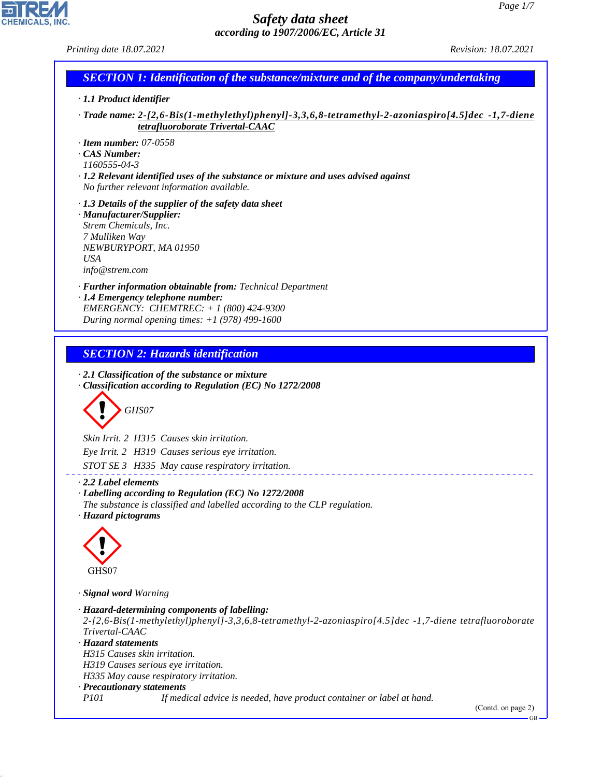CHEMICALS, INC.

44.1.1

| Printing date 18.07.2021                                                                                                                                                                                                                                                                                                                                                  | Revision: 18.07.2021 |
|---------------------------------------------------------------------------------------------------------------------------------------------------------------------------------------------------------------------------------------------------------------------------------------------------------------------------------------------------------------------------|----------------------|
| <b>SECTION 1: Identification of the substance/mixture and of the company/undertaking</b>                                                                                                                                                                                                                                                                                  |                      |
| · 1.1 Product identifier                                                                                                                                                                                                                                                                                                                                                  |                      |
| Trade name: 2-[2,6-Bis(1-methylethyl)phenyl]-3,3,6,8-tetramethyl-2-azoniaspiro[4.5]dec -1,7-diene ·<br>tetrafluoroborate Trivertal-CAAC                                                                                                                                                                                                                                   |                      |
| $\cdot$ Item number: 07-0558<br>CAS Number:<br>1160555-04-3<br>$\cdot$ 1.2 Relevant identified uses of the substance or mixture and uses advised against<br>No further relevant information available.                                                                                                                                                                    |                      |
| $\cdot$ 1.3 Details of the supplier of the safety data sheet<br>· Manufacturer/Supplier:<br>Strem Chemicals, Inc.<br>7 Mulliken Way<br>NEWBURYPORT, MA 01950<br><b>USA</b><br>info@strem.com                                                                                                                                                                              |                      |
| · <b>Further information obtainable from:</b> Technical Department<br>· 1.4 Emergency telephone number:<br>EMERGENCY: CHEMTREC: + 1 (800) 424-9300<br>During normal opening times: $+1$ (978) 499-1600                                                                                                                                                                    |                      |
| <b>SECTION 2: Hazards identification</b><br>$\cdot$ 2.1 Classification of the substance or mixture<br>Classification according to Regulation (EC) No 1272/2008<br>GHS07                                                                                                                                                                                                   |                      |
| Skin Irrit. 2 H315 Causes skin irritation.<br>Eye Irrit. 2 H319 Causes serious eye irritation.<br>STOT SE 3 H335 May cause respiratory irritation.                                                                                                                                                                                                                        |                      |
| $\cdot$ 2.2 Label elements<br>· Labelling according to Regulation (EC) No 1272/2008<br>The substance is classified and labelled according to the CLP regulation.<br>· Hazard pictograms                                                                                                                                                                                   |                      |
| GHS07                                                                                                                                                                                                                                                                                                                                                                     |                      |
| · Signal word Warning<br>· Hazard-determining components of labelling:<br>2-[2,6-Bis(1-methylethyl)phenyl]-3,3,6,8-tetramethyl-2-azoniaspiro[4.5]dec -1,7-diene tetrafluoroborate<br>Trivertal-CAAC<br>· Hazard statements<br>H315 Causes skin irritation.<br>H319 Causes serious eye irritation.<br>H335 May cause respiratory irritation.<br>· Precautionary statements |                      |
| <i>P101</i><br>If medical advice is needed, have product container or label at hand.                                                                                                                                                                                                                                                                                      | (Contd. on page 2)   |

GB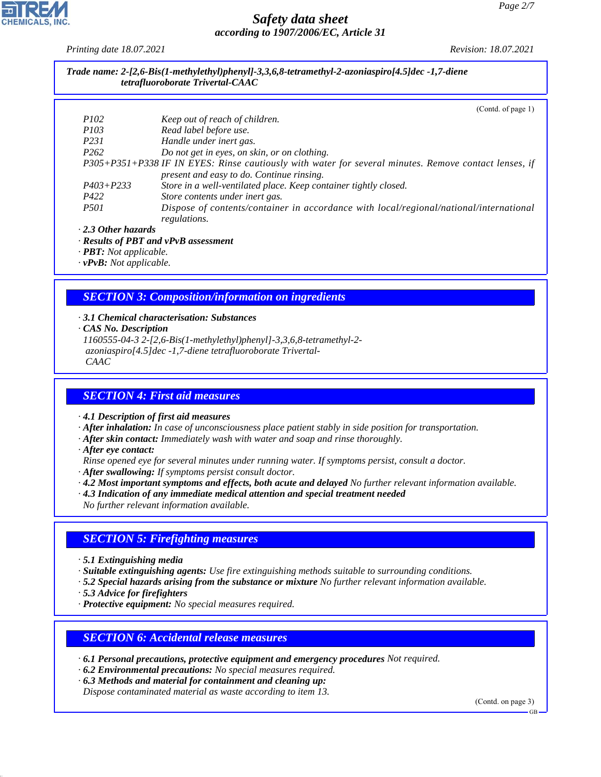*Printing date 18.07.2021 Revision: 18.07.2021*

*Trade name: 2-[2,6-Bis(1-methylethyl)phenyl]-3,3,6,8-tetramethyl-2-azoniaspiro[4.5]dec -1,7-diene tetrafluoroborate Trivertal-CAAC*

|                           | (Cond. of page 1)                                                                                     |
|---------------------------|-------------------------------------------------------------------------------------------------------|
| <i>P102</i>               | Keep out of reach of children.                                                                        |
| <i>P103</i>               | Read label before use.                                                                                |
| P <sub>231</sub>          | Handle under inert gas.                                                                               |
| P <sub>262</sub>          | Do not get in eyes, on skin, or on clothing.                                                          |
|                           | P305+P351+P338 IF IN EYES: Rinse cautiously with water for several minutes. Remove contact lenses, if |
|                           | present and easy to do. Continue rinsing.                                                             |
| $P403 + P233$             | Store in a well-ventilated place. Keep container tightly closed.                                      |
| P422                      | Store contents under inert gas.                                                                       |
| <i>P501</i>               | Dispose of contents/container in accordance with local/regional/national/international                |
|                           | regulations.                                                                                          |
| $\cdot$ 2.3 Other hazards |                                                                                                       |

#### *· Results of PBT and vPvB assessment*

*· PBT: Not applicable.*

*· vPvB: Not applicable.*

#### *SECTION 3: Composition/information on ingredients*

#### *· 3.1 Chemical characterisation: Substances*

*· CAS No. Description*

*1160555-04-3 2-[2,6-Bis(1-methylethyl)phenyl]-3,3,6,8-tetramethyl-2 azoniaspiro[4.5]dec -1,7-diene tetrafluoroborate Trivertal- CAAC*

#### *SECTION 4: First aid measures*

*· 4.1 Description of first aid measures*

*· After inhalation: In case of unconsciousness place patient stably in side position for transportation.*

- *· After skin contact: Immediately wash with water and soap and rinse thoroughly.*
- *· After eye contact:*
- *Rinse opened eye for several minutes under running water. If symptoms persist, consult a doctor.*
- *· After swallowing: If symptoms persist consult doctor.*
- *· 4.2 Most important symptoms and effects, both acute and delayed No further relevant information available.*
- *· 4.3 Indication of any immediate medical attention and special treatment needed*
- *No further relevant information available.*

#### *SECTION 5: Firefighting measures*

- *· 5.1 Extinguishing media*
- *· Suitable extinguishing agents: Use fire extinguishing methods suitable to surrounding conditions.*
- *· 5.2 Special hazards arising from the substance or mixture No further relevant information available.*
- *· 5.3 Advice for firefighters*

44.1.1

*· Protective equipment: No special measures required.*

#### *SECTION 6: Accidental release measures*

- *· 6.1 Personal precautions, protective equipment and emergency procedures Not required.*
- *· 6.2 Environmental precautions: No special measures required.*
- *· 6.3 Methods and material for containment and cleaning up:*
- *Dispose contaminated material as waste according to item 13.*

(Contd. on page 3)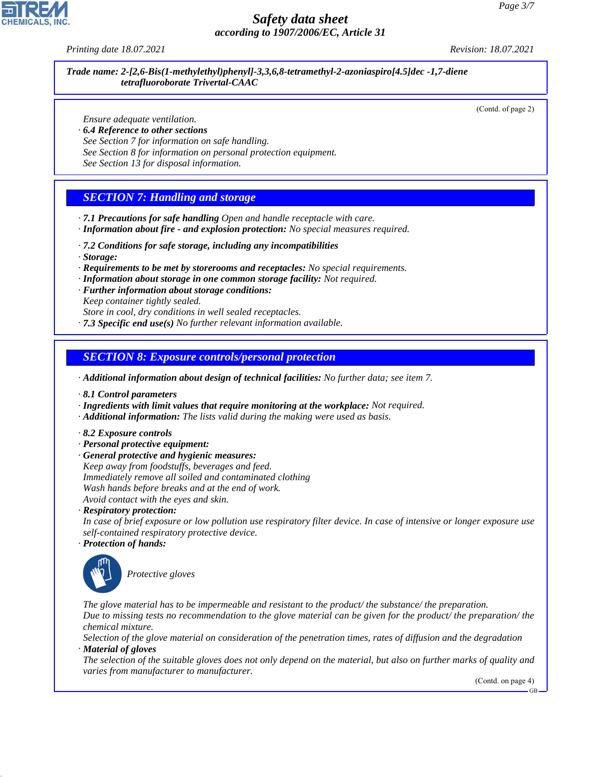*Printing date 18.07.2021 Revision: 18.07.2021*

*Trade name: 2-[2,6-Bis(1-methylethyl)phenyl]-3,3,6,8-tetramethyl-2-azoniaspiro[4.5]dec -1,7-diene tetrafluoroborate Trivertal-CAAC*

(Contd. of page 2)

*Ensure adequate ventilation.*

- *· 6.4 Reference to other sections*
- *See Section 7 for information on safe handling.*
- *See Section 8 for information on personal protection equipment.*

*See Section 13 for disposal information.*

## *SECTION 7: Handling and storage*

- *· 7.1 Precautions for safe handling Open and handle receptacle with care.*
- *· Information about fire and explosion protection: No special measures required.*
- *· 7.2 Conditions for safe storage, including any incompatibilities*
- *· Storage:*
- *· Requirements to be met by storerooms and receptacles: No special requirements.*
- *· Information about storage in one common storage facility: Not required.*
- *· Further information about storage conditions:*
- *Keep container tightly sealed.*

*Store in cool, dry conditions in well sealed receptacles. · 7.3 Specific end use(s) No further relevant information available.*

*SECTION 8: Exposure controls/personal protection*

*· Additional information about design of technical facilities: No further data; see item 7.*

- *· 8.1 Control parameters*
- *· Ingredients with limit values that require monitoring at the workplace: Not required.*
- *· Additional information: The lists valid during the making were used as basis.*
- *· 8.2 Exposure controls*
- *· Personal protective equipment:*
- *· General protective and hygienic measures: Keep away from foodstuffs, beverages and feed. Immediately remove all soiled and contaminated clothing Wash hands before breaks and at the end of work. Avoid contact with the eyes and skin.*

*· Respiratory protection:*

*In case of brief exposure or low pollution use respiratory filter device. In case of intensive or longer exposure use self-contained respiratory protective device.*

*· Protection of hands:*



44.1.1

\_S*Protective gloves*

*The glove material has to be impermeable and resistant to the product/ the substance/ the preparation. Due to missing tests no recommendation to the glove material can be given for the product/ the preparation/ the chemical mixture.*

*Selection of the glove material on consideration of the penetration times, rates of diffusion and the degradation · Material of gloves*

*The selection of the suitable gloves does not only depend on the material, but also on further marks of quality and varies from manufacturer to manufacturer.*

(Contd. on page 4)

GB

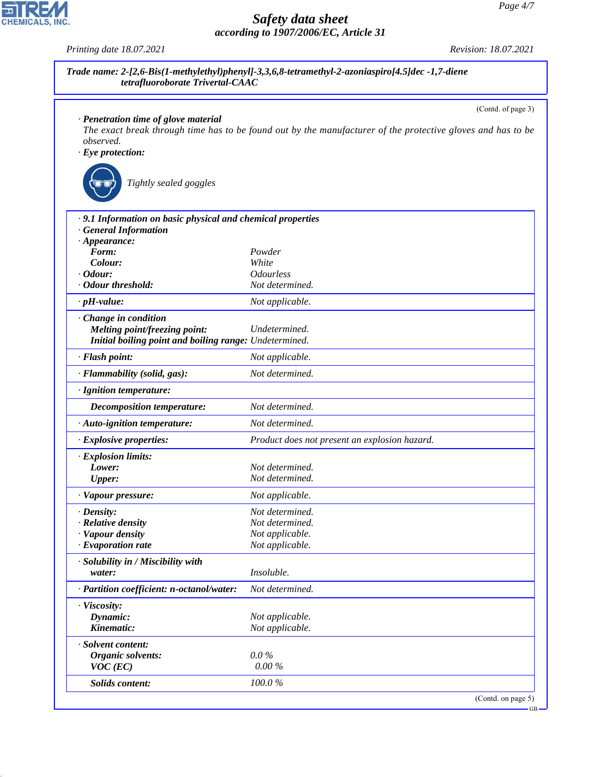|                                                             | (Contd. of page 3)                                                                                          |
|-------------------------------------------------------------|-------------------------------------------------------------------------------------------------------------|
| · Penetration time of glove material                        |                                                                                                             |
| observed.                                                   | The exact break through time has to be found out by the manufacturer of the protective gloves and has to be |
| $\cdot$ Eye protection:                                     |                                                                                                             |
|                                                             |                                                                                                             |
| Tightly sealed goggles                                      |                                                                                                             |
| · 9.1 Information on basic physical and chemical properties |                                                                                                             |
| <b>General Information</b>                                  |                                                                                                             |
| $\cdot$ Appearance:                                         |                                                                                                             |
| Form:                                                       | Powder                                                                                                      |
| Colour:                                                     | White                                                                                                       |
| $\cdot$ Odour:<br>· Odour threshold:                        | <i><b>Odourless</b></i><br>Not determined.                                                                  |
|                                                             |                                                                                                             |
| $\cdot$ pH-value:                                           | Not applicable.                                                                                             |
| Change in condition                                         |                                                                                                             |
| Melting point/freezing point:                               | Undetermined.                                                                                               |
| Initial boiling point and boiling range: Undetermined.      |                                                                                                             |
| · Flash point:                                              | Not applicable.                                                                                             |
| · Flammability (solid, gas):                                | Not determined.                                                                                             |
| · Ignition temperature:                                     |                                                                                                             |
| Decomposition temperature:                                  | Not determined.                                                                                             |
| · Auto-ignition temperature:                                | Not determined.                                                                                             |
| · Explosive properties:                                     | Product does not present an explosion hazard.                                                               |
| · Explosion limits:                                         |                                                                                                             |
| Lower:                                                      | Not determined.                                                                                             |
| <b>Upper:</b>                                               | Not determined.                                                                                             |
| · Vapour pressure:                                          | Not applicable.                                                                                             |
| · Density:                                                  | Not determined.                                                                                             |
| · Relative density                                          | Not determined.                                                                                             |
| · Vapour density                                            | Not applicable.                                                                                             |
| · Evaporation rate                                          | Not applicable.                                                                                             |
| · Solubility in / Miscibility with                          |                                                                                                             |
| water:                                                      | Insoluble.                                                                                                  |
| · Partition coefficient: n-octanol/water:                   | Not determined.                                                                                             |
| · Viscosity:                                                |                                                                                                             |
| Dynamic:                                                    | Not applicable.                                                                                             |
| Kinematic:                                                  | Not applicable.                                                                                             |
| · Solvent content:                                          |                                                                                                             |
| Organic solvents:                                           | $0.0\%$                                                                                                     |
| $VOC$ (EC)                                                  | $0.00\%$                                                                                                    |
| <b>Solids content:</b>                                      | 100.0%                                                                                                      |
|                                                             | (Contd. on page 5)                                                                                          |



44.1.1

*Printing date 18.07.2021 Revision: 18.07.2021*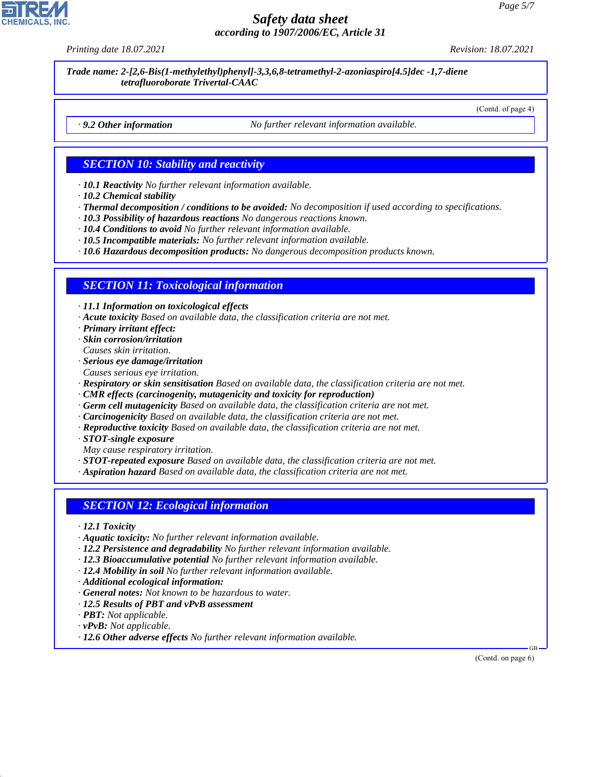*Printing date 18.07.2021 Revision: 18.07.2021*

*Trade name: 2-[2,6-Bis(1-methylethyl)phenyl]-3,3,6,8-tetramethyl-2-azoniaspiro[4.5]dec -1,7-diene tetrafluoroborate Trivertal-CAAC*

(Contd. of page 4)

*· 9.2 Other information No further relevant information available.*

### *SECTION 10: Stability and reactivity*

*· 10.1 Reactivity No further relevant information available.*

- *· 10.2 Chemical stability*
- *· Thermal decomposition / conditions to be avoided: No decomposition if used according to specifications.*
- *· 10.3 Possibility of hazardous reactions No dangerous reactions known.*
- *· 10.4 Conditions to avoid No further relevant information available.*
- *· 10.5 Incompatible materials: No further relevant information available.*
- *· 10.6 Hazardous decomposition products: No dangerous decomposition products known.*

#### *SECTION 11: Toxicological information*

*· 11.1 Information on toxicological effects*

- *· Acute toxicity Based on available data, the classification criteria are not met.*
- *· Primary irritant effect:*
- *· Skin corrosion/irritation Causes skin irritation.*
- *· Serious eye damage/irritation*
- *Causes serious eye irritation.*
- *· Respiratory or skin sensitisation Based on available data, the classification criteria are not met.*
- *· CMR effects (carcinogenity, mutagenicity and toxicity for reproduction)*
- *· Germ cell mutagenicity Based on available data, the classification criteria are not met.*
- *· Carcinogenicity Based on available data, the classification criteria are not met.*
- *· Reproductive toxicity Based on available data, the classification criteria are not met.*
- *· STOT-single exposure*
- *May cause respiratory irritation.*

*· STOT-repeated exposure Based on available data, the classification criteria are not met.*

*· Aspiration hazard Based on available data, the classification criteria are not met.*

#### *SECTION 12: Ecological information*

- *· 12.1 Toxicity*
- *· Aquatic toxicity: No further relevant information available.*
- *· 12.2 Persistence and degradability No further relevant information available.*
- *· 12.3 Bioaccumulative potential No further relevant information available.*
- *· 12.4 Mobility in soil No further relevant information available.*
- *· Additional ecological information:*
- *· General notes: Not known to be hazardous to water.*
- *· 12.5 Results of PBT and vPvB assessment*
- *· PBT: Not applicable.*
- *· vPvB: Not applicable.*

44.1.1

*· 12.6 Other adverse effects No further relevant information available.*

(Contd. on page 6)

GB

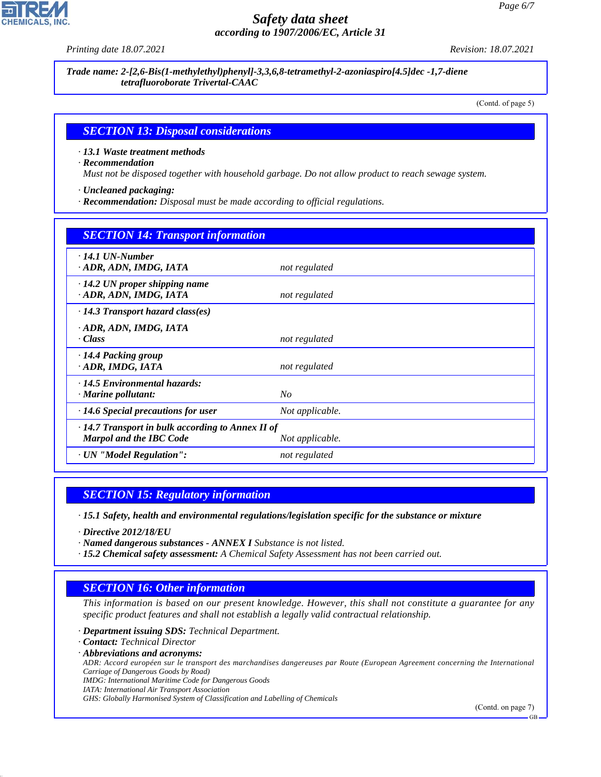*Printing date 18.07.2021 Revision: 18.07.2021*

*Trade name: 2-[2,6-Bis(1-methylethyl)phenyl]-3,3,6,8-tetramethyl-2-azoniaspiro[4.5]dec -1,7-diene tetrafluoroborate Trivertal-CAAC*

(Contd. of page 5)

#### *SECTION 13: Disposal considerations*

*· 13.1 Waste treatment methods*

*· Recommendation*

*Must not be disposed together with household garbage. Do not allow product to reach sewage system.*

*· Uncleaned packaging:*

*· Recommendation: Disposal must be made according to official regulations.*

| <b>SECTION 14: Transport information</b>                                                                     |                 |  |
|--------------------------------------------------------------------------------------------------------------|-----------------|--|
| $\cdot$ 14.1 UN-Number<br>· ADR, ADN, IMDG, IATA                                                             | not regulated   |  |
| $\cdot$ 14.2 UN proper shipping name<br>· ADR, ADN, IMDG, IATA                                               | not regulated   |  |
| $\cdot$ 14.3 Transport hazard class(es)                                                                      |                 |  |
| · ADR, ADN, IMDG, IATA<br>· Class                                                                            | not regulated   |  |
| $\cdot$ 14.4 Packing group<br>· ADR, IMDG, IATA                                                              | not regulated   |  |
| $\cdot$ 14.5 Environmental hazards:<br>$\cdot$ Marine pollutant:                                             | $N_{O}$         |  |
| $\cdot$ 14.6 Special precautions for user                                                                    | Not applicable. |  |
| $\cdot$ 14.7 Transport in bulk according to Annex II of<br><b>Marpol and the IBC Code</b><br>Not applicable. |                 |  |
| · UN "Model Regulation":                                                                                     | not regulated   |  |

#### *SECTION 15: Regulatory information*

*· 15.1 Safety, health and environmental regulations/legislation specific for the substance or mixture*

*· Directive 2012/18/EU*

*· Named dangerous substances - ANNEX I Substance is not listed.*

*· 15.2 Chemical safety assessment: A Chemical Safety Assessment has not been carried out.*

# *SECTION 16: Other information*

*This information is based on our present knowledge. However, this shall not constitute a guarantee for any specific product features and shall not establish a legally valid contractual relationship.*

*· Department issuing SDS: Technical Department.*

*· Contact: Technical Director*

44.1.1

*· Abbreviations and acronyms:*

*ADR: Accord européen sur le transport des marchandises dangereuses par Route (European Agreement concerning the International Carriage of Dangerous Goods by Road)*

*IMDG: International Maritime Code for Dangerous Goods*

*IATA: International Air Transport Association*

*GHS: Globally Harmonised System of Classification and Labelling of Chemicals*

(Contd. on page 7)

GB